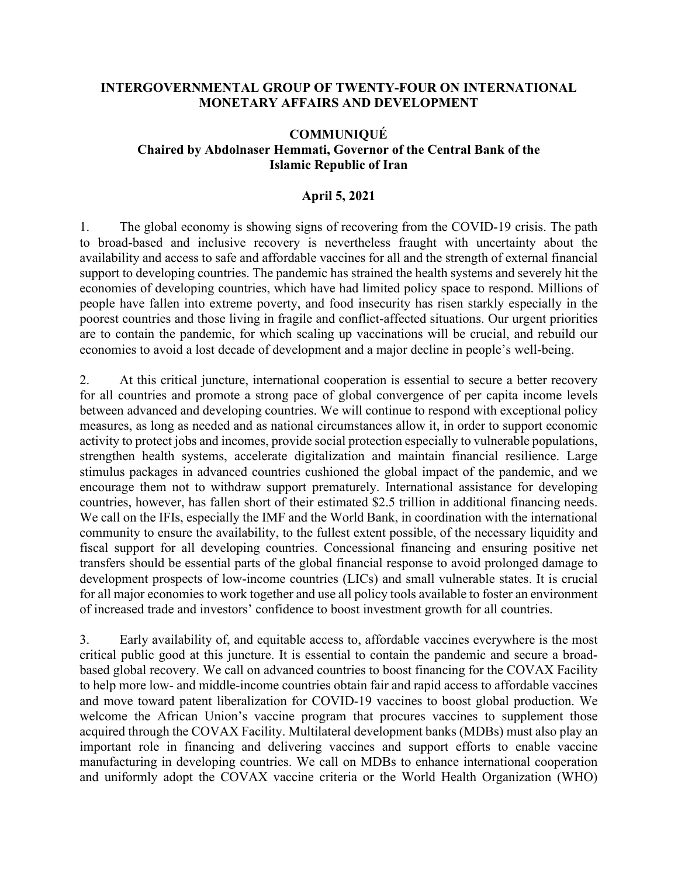## **INTERGOVERNMENTAL GROUP OF TWENTY-FOUR ON INTERNATIONAL MONETARY AFFAIRS AND DEVELOPMENT**

## **COMMUNIQUÉ Chaired by Abdolnaser Hemmati, Governor of the Central Bank of the Islamic Republic of Iran**

## **April 5, 2021**

1. The global economy is showing signs of recovering from the COVID-19 crisis. The path to broad-based and inclusive recovery is nevertheless fraught with uncertainty about the availability and access to safe and affordable vaccines for all and the strength of external financial support to developing countries. The pandemic has strained the health systems and severely hit the economies of developing countries, which have had limited policy space to respond. Millions of people have fallen into extreme poverty, and food insecurity has risen starkly especially in the poorest countries and those living in fragile and conflict-affected situations. Our urgent priorities are to contain the pandemic, for which scaling up vaccinations will be crucial, and rebuild our economies to avoid a lost decade of development and a major decline in people's well-being.

2. At this critical juncture, international cooperation is essential to secure a better recovery for all countries and promote a strong pace of global convergence of per capita income levels between advanced and developing countries. We will continue to respond with exceptional policy measures, as long as needed and as national circumstances allow it, in order to support economic activity to protect jobs and incomes, provide social protection especially to vulnerable populations, strengthen health systems, accelerate digitalization and maintain financial resilience. Large stimulus packages in advanced countries cushioned the global impact of the pandemic, and we encourage them not to withdraw support prematurely. International assistance for developing countries, however, has fallen short of their estimated \$2.5 trillion in additional financing needs. We call on the IFIs, especially the IMF and the World Bank, in coordination with the international community to ensure the availability, to the fullest extent possible, of the necessary liquidity and fiscal support for all developing countries. Concessional financing and ensuring positive net transfers should be essential parts of the global financial response to avoid prolonged damage to development prospects of low-income countries (LICs) and small vulnerable states. It is crucial for all major economies to work together and use all policy tools available to foster an environment of increased trade and investors' confidence to boost investment growth for all countries.

3. Early availability of, and equitable access to, affordable vaccines everywhere is the most critical public good at this juncture. It is essential to contain the pandemic and secure a broadbased global recovery. We call on advanced countries to boost financing for the COVAX Facility to help more low- and middle-income countries obtain fair and rapid access to affordable vaccines and move toward patent liberalization for COVID-19 vaccines to boost global production. We welcome the African Union's vaccine program that procures vaccines to supplement those acquired through the COVAX Facility. Multilateral development banks (MDBs) must also play an important role in financing and delivering vaccines and support efforts to enable vaccine manufacturing in developing countries. We call on MDBs to enhance international cooperation and uniformly adopt the COVAX vaccine criteria or the World Health Organization (WHO)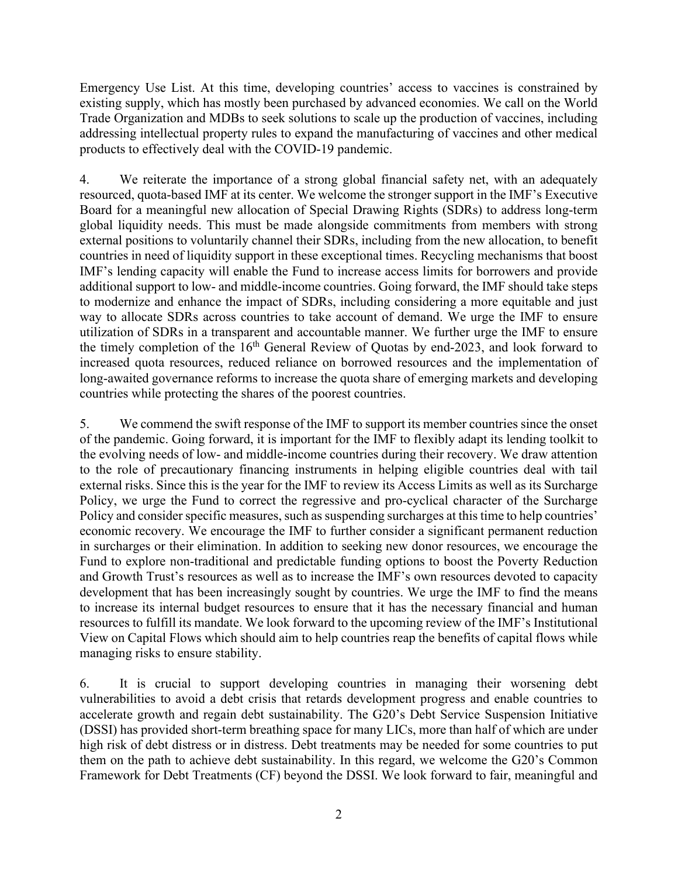Emergency Use List. At this time, developing countries' access to vaccines is constrained by existing supply, which has mostly been purchased by advanced economies. We call on the World Trade Organization and MDBs to seek solutions to scale up the production of vaccines, including addressing intellectual property rules to expand the manufacturing of vaccines and other medical products to effectively deal with the COVID-19 pandemic.

4. We reiterate the importance of a strong global financial safety net, with an adequately resourced, quota-based IMF at its center. We welcome the stronger support in the IMF's Executive Board for a meaningful new allocation of Special Drawing Rights (SDRs) to address long-term global liquidity needs. This must be made alongside commitments from members with strong external positions to voluntarily channel their SDRs, including from the new allocation, to benefit countries in need of liquidity support in these exceptional times. Recycling mechanisms that boost IMF's lending capacity will enable the Fund to increase access limits for borrowers and provide additional support to low- and middle-income countries. Going forward, the IMF should take steps to modernize and enhance the impact of SDRs, including considering a more equitable and just way to allocate SDRs across countries to take account of demand. We urge the IMF to ensure utilization of SDRs in a transparent and accountable manner. We further urge the IMF to ensure the timely completion of the  $16<sup>th</sup>$  General Review of Quotas by end-2023, and look forward to increased quota resources, reduced reliance on borrowed resources and the implementation of long-awaited governance reforms to increase the quota share of emerging markets and developing countries while protecting the shares of the poorest countries.

5. We commend the swift response of the IMF to support its member countries since the onset of the pandemic. Going forward, it is important for the IMF to flexibly adapt its lending toolkit to the evolving needs of low- and middle-income countries during their recovery. We draw attention to the role of precautionary financing instruments in helping eligible countries deal with tail external risks. Since this is the year for the IMF to review its Access Limits as well as its Surcharge Policy, we urge the Fund to correct the regressive and pro-cyclical character of the Surcharge Policy and consider specific measures, such as suspending surcharges at this time to help countries' economic recovery. We encourage the IMF to further consider a significant permanent reduction in surcharges or their elimination. In addition to seeking new donor resources, we encourage the Fund to explore non-traditional and predictable funding options to boost the Poverty Reduction and Growth Trust's resources as well as to increase the IMF's own resources devoted to capacity development that has been increasingly sought by countries. We urge the IMF to find the means to increase its internal budget resources to ensure that it has the necessary financial and human resources to fulfill its mandate. We look forward to the upcoming review of the IMF's Institutional View on Capital Flows which should aim to help countries reap the benefits of capital flows while managing risks to ensure stability.

6. It is crucial to support developing countries in managing their worsening debt vulnerabilities to avoid a debt crisis that retards development progress and enable countries to accelerate growth and regain debt sustainability. The G20's Debt Service Suspension Initiative (DSSI) has provided short-term breathing space for many LICs, more than half of which are under high risk of debt distress or in distress. Debt treatments may be needed for some countries to put them on the path to achieve debt sustainability. In this regard, we welcome the G20's Common Framework for Debt Treatments (CF) beyond the DSSI. We look forward to fair, meaningful and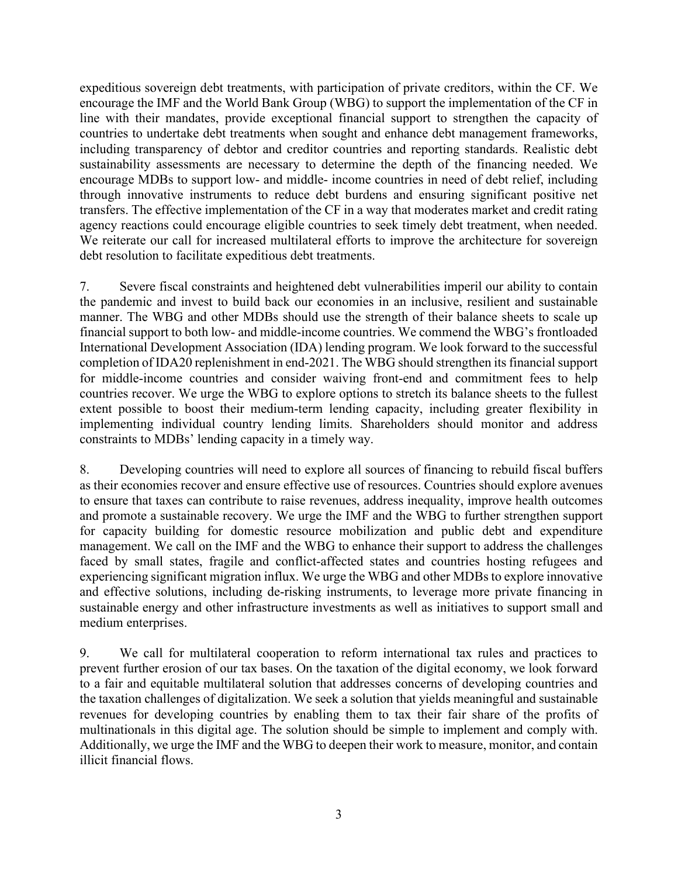expeditious sovereign debt treatments, with participation of private creditors, within the CF. We encourage the IMF and the World Bank Group (WBG) to support the implementation of the CF in line with their mandates, provide exceptional financial support to strengthen the capacity of countries to undertake debt treatments when sought and enhance debt management frameworks, including transparency of debtor and creditor countries and reporting standards. Realistic debt sustainability assessments are necessary to determine the depth of the financing needed. We encourage MDBs to support low- and middle- income countries in need of debt relief, including through innovative instruments to reduce debt burdens and ensuring significant positive net transfers. The effective implementation of the CF in a way that moderates market and credit rating agency reactions could encourage eligible countries to seek timely debt treatment, when needed. We reiterate our call for increased multilateral efforts to improve the architecture for sovereign debt resolution to facilitate expeditious debt treatments.

7. Severe fiscal constraints and heightened debt vulnerabilities imperil our ability to contain the pandemic and invest to build back our economies in an inclusive, resilient and sustainable manner. The WBG and other MDBs should use the strength of their balance sheets to scale up financial support to both low- and middle-income countries. We commend the WBG's frontloaded International Development Association (IDA) lending program. We look forward to the successful completion of IDA20 replenishment in end-2021. The WBG should strengthen its financial support for middle-income countries and consider waiving front-end and commitment fees to help countries recover. We urge the WBG to explore options to stretch its balance sheets to the fullest extent possible to boost their medium-term lending capacity, including greater flexibility in implementing individual country lending limits. Shareholders should monitor and address constraints to MDBs' lending capacity in a timely way.

8. Developing countries will need to explore all sources of financing to rebuild fiscal buffers as their economies recover and ensure effective use of resources. Countries should explore avenues to ensure that taxes can contribute to raise revenues, address inequality, improve health outcomes and promote a sustainable recovery. We urge the IMF and the WBG to further strengthen support for capacity building for domestic resource mobilization and public debt and expenditure management. We call on the IMF and the WBG to enhance their support to address the challenges faced by small states, fragile and conflict-affected states and countries hosting refugees and experiencing significant migration influx. We urge the WBG and other MDBs to explore innovative and effective solutions, including de-risking instruments, to leverage more private financing in sustainable energy and other infrastructure investments as well as initiatives to support small and medium enterprises.

9. We call for multilateral cooperation to reform international tax rules and practices to prevent further erosion of our tax bases. On the taxation of the digital economy, we look forward to a fair and equitable multilateral solution that addresses concerns of developing countries and the taxation challenges of digitalization. We seek a solution that yields meaningful and sustainable revenues for developing countries by enabling them to tax their fair share of the profits of multinationals in this digital age. The solution should be simple to implement and comply with. Additionally, we urge the IMF and the WBG to deepen their work to measure, monitor, and contain illicit financial flows.